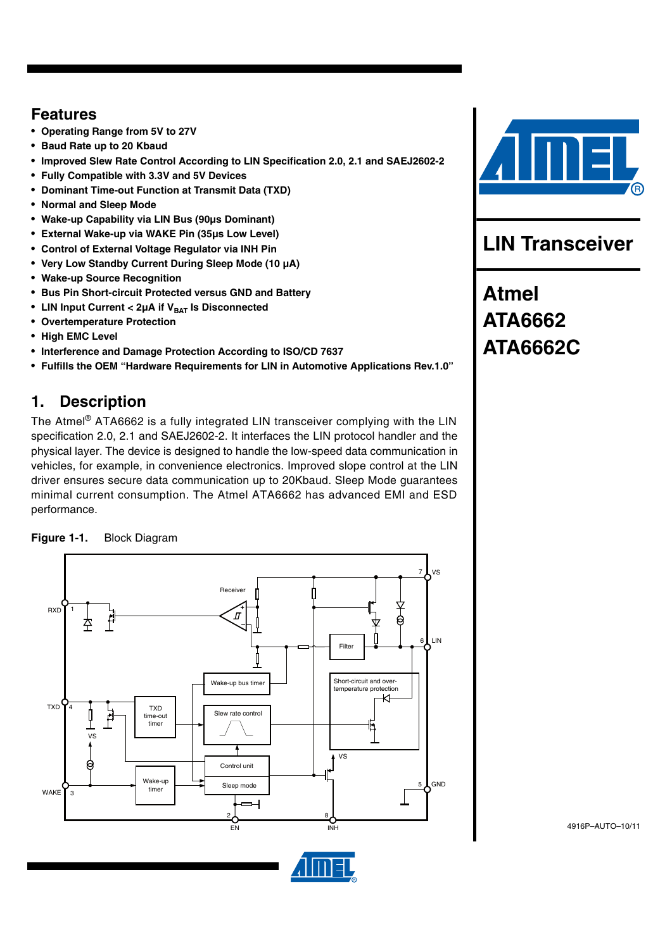## **Features**

- **Operating Range from 5V to 27V**
- **Baud Rate up to 20 Kbaud**
- **Improved Slew Rate Control According to LIN Specification 2.0, 2.1 and SAEJ2602-2**
- **Fully Compatible with 3.3V and 5V Devices**
- **Dominant Time-out Function at Transmit Data (TXD)**
- **Normal and Sleep Mode**
- **Wake-up Capability via LIN Bus (90µs Dominant)**
- **External Wake-up via WAKE Pin (35µs Low Level)**
- **Control of External Voltage Regulator via INH Pin**
- **Very Low Standby Current During Sleep Mode (10 µA)**
- **Wake-up Source Recognition**
- **Bus Pin Short-circuit Protected versus GND and Battery**
- LIN Input Current < 2µA if V<sub>BAT</sub> Is Disconnected
- **Overtemperature Protection**
- **High EMC Level**
- **Interference and Damage Protection According to ISO/CD 7637**
- **Fulfills the OEM "Hardware Requirements for LIN in Automotive Applications Rev.1.0"**

## **1. Description**

The Atmel® ATA6662 is a fully integrated LIN transceiver complying with the LIN specification 2.0, 2.1 and SAEJ2602-2. It interfaces the LIN protocol handler and the physical layer. The device is designed to handle the low-speed data communication in vehicles, for example, in convenience electronics. Improved slope control at the LIN driver ensures secure data communication up to 20Kbaud. Sleep Mode guarantees minimal current consumption. The Atmel ATA6662 has advanced EMI and ESD performance.







**LIN Transceiver**

**Atmel ATA6662 ATA6662C**

4916P–AUTO–10/11

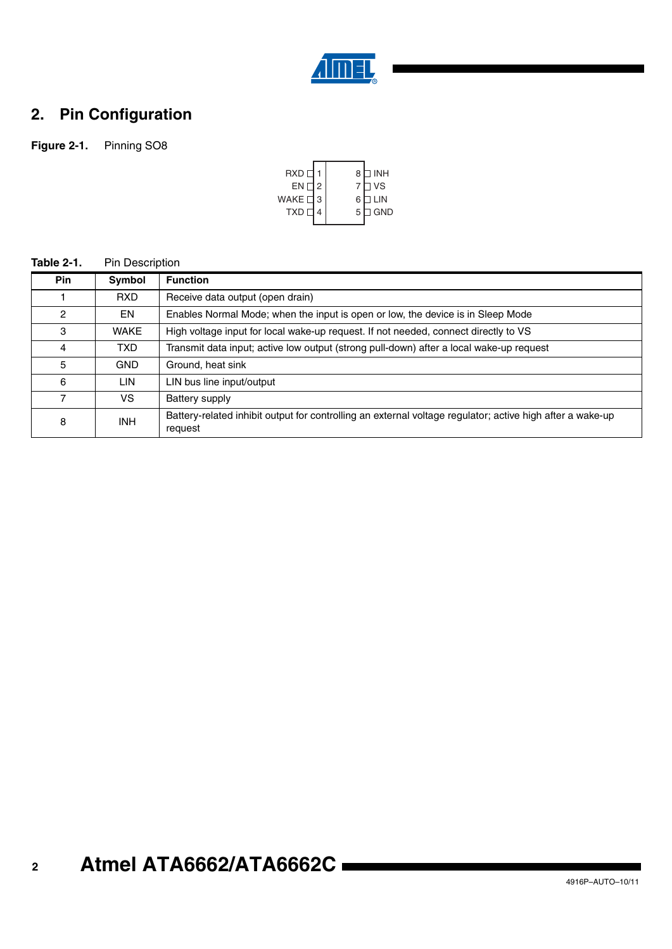

# **2. Pin Configuration**

## **Figure 2-1.** Pinning SO8



#### **Table 2-1.** Pin Description

| <b>Pin</b>    | Symbol      | <b>Function</b>                                                                                                      |
|---------------|-------------|----------------------------------------------------------------------------------------------------------------------|
|               | RXD.        | Receive data output (open drain)                                                                                     |
| $\mathcal{P}$ | EN          | Enables Normal Mode; when the input is open or low, the device is in Sleep Mode                                      |
| 3             | <b>WAKE</b> | High voltage input for local wake-up request. If not needed, connect directly to VS                                  |
| 4             | TXD.        | Transmit data input; active low output (strong pull-down) after a local wake-up request                              |
| 5             | <b>GND</b>  | Ground, heat sink                                                                                                    |
| 6             | LIN.        | LIN bus line input/output                                                                                            |
|               | VS.         | Battery supply                                                                                                       |
| 8             | INH.        | Battery-related inhibit output for controlling an external voltage regulator; active high after a wake-up<br>request |

#### **2 Atmel ATA6662/ATA6662C**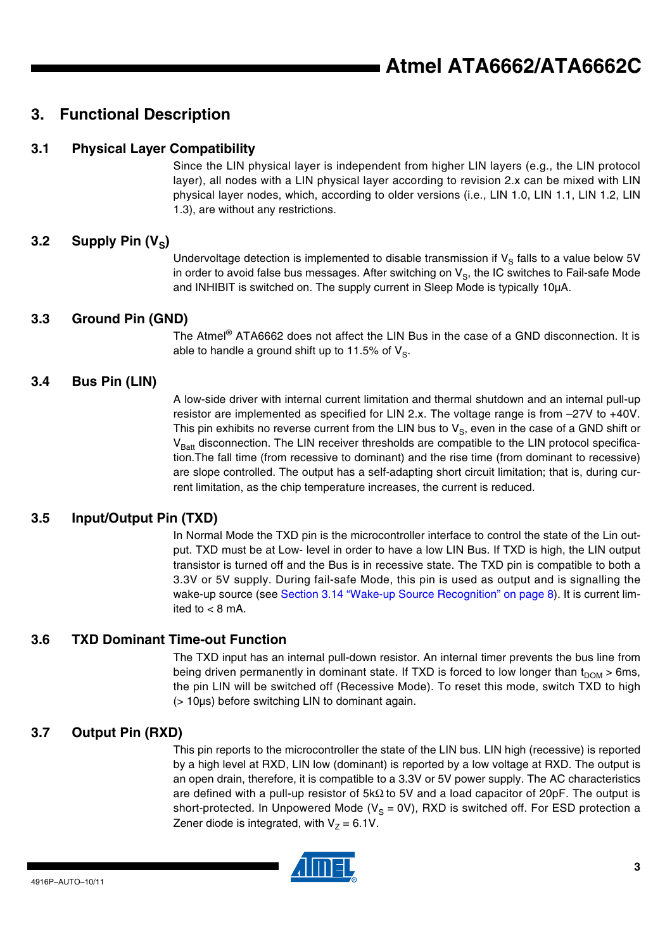## **3. Functional Description**

### **3.1 Physical Layer Compatibility**

Since the LIN physical layer is independent from higher LIN layers (e.g., the LIN protocol layer), all nodes with a LIN physical layer according to revision 2.x can be mixed with LIN physical layer nodes, which, according to older versions (i.e., LIN 1.0, LIN 1.1, LIN 1.2, LIN 1.3), are without any restrictions.

### 3.2 Supply Pin (V<sub>s</sub>)

Undervoltage detection is implemented to disable transmission if  $V_{\rm S}$  falls to a value below 5V in order to avoid false bus messages. After switching on  $V_{\rm S}$ , the IC switches to Fail-safe Mode and INHIBIT is switched on. The supply current in Sleep Mode is typically 10µA.

### **3.3 Ground Pin (GND)**

The Atmel® ATA6662 does not affect the LIN Bus in the case of a GND disconnection. It is able to handle a ground shift up to 11.5% of  $V_s$ .

### **3.4 Bus Pin (LIN)**

A low-side driver with internal current limitation and thermal shutdown and an internal pull-up resistor are implemented as specified for LIN 2.x. The voltage range is from –27V to +40V. This pin exhibits no reverse current from the LIN bus to  $V_{\rm S}$ , even in the case of a GND shift or  $V<sub>Batt</sub>$  disconnection. The LIN receiver thresholds are compatible to the LIN protocol specification.The fall time (from recessive to dominant) and the rise time (from dominant to recessive) are slope controlled. The output has a self-adapting short circuit limitation; that is, during current limitation, as the chip temperature increases, the current is reduced.

### **3.5 Input/Output Pin (TXD)**

In Normal Mode the TXD pin is the microcontroller interface to control the state of the Lin output. TXD must be at Low- level in order to have a low LIN Bus. If TXD is high, the LIN output transistor is turned off and the Bus is in recessive state. The TXD pin is compatible to both a 3.3V or 5V supply. During fail-safe Mode, this pin is used as output and is signalling the wake-up source (see [Section 3.14 "Wake-up Source Recognition" on page 8\)](#page-7-0). It is current limited to  $< 8$  mA.

### **3.6 TXD Dominant Time-out Function**

The TXD input has an internal pull-down resistor. An internal timer prevents the bus line from being driven permanently in dominant state. If TXD is forced to low longer than  $t_{DOM} > 6$ ms, the pin LIN will be switched off (Recessive Mode). To reset this mode, switch TXD to high (> 10µs) before switching LIN to dominant again.

### **3.7 Output Pin (RXD)**

This pin reports to the microcontroller the state of the LIN bus. LIN high (recessive) is reported by a high level at RXD, LIN low (dominant) is reported by a low voltage at RXD. The output is an open drain, therefore, it is compatible to a 3.3V or 5V power supply. The AC characteristics are defined with a pull-up resistor of 5kΩ to 5V and a load capacitor of 20pF. The output is short-protected. In Unpowered Mode ( $V_s = 0V$ ), RXD is switched off. For ESD protection a Zener diode is integrated, with  $V<sub>7</sub> = 6.1V$ .

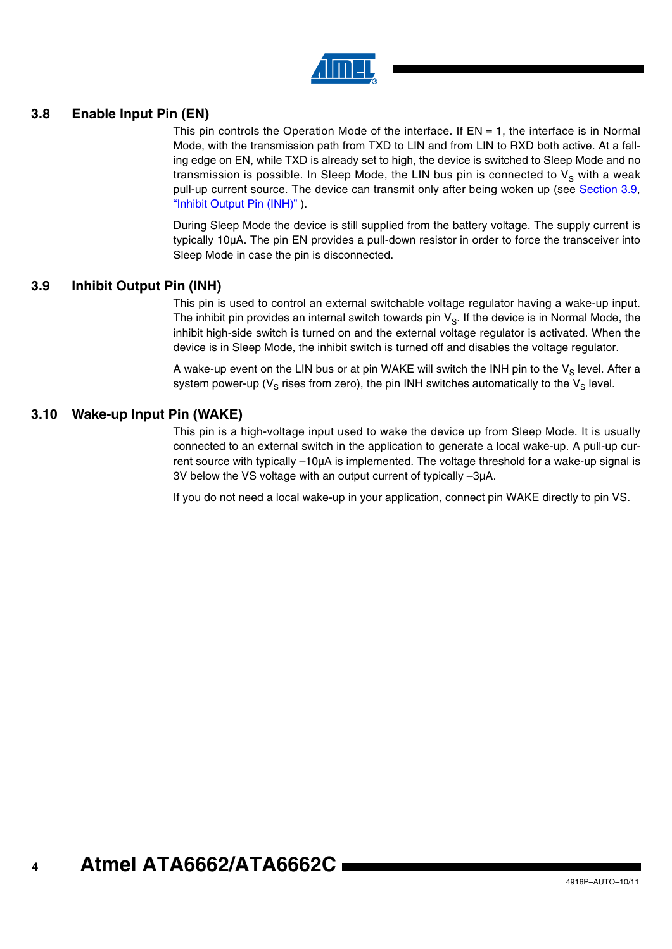

### **3.8 Enable Input Pin (EN)**

This pin controls the Operation Mode of the interface. If  $EN = 1$ , the interface is in Normal Mode, with the transmission path from TXD to LIN and from LIN to RXD both active. At a falling edge on EN, while TXD is already set to high, the device is switched to Sleep Mode and no transmission is possible. In Sleep Mode, the LIN bus pin is connected to  $V_S$  with a weak pull-up current source. The device can transmit only after being woken up (see [Section 3.9,](#page-3-0) ["Inhibit Output Pin \(INH\)"](#page-3-0) ).

During Sleep Mode the device is still supplied from the battery voltage. The supply current is typically 10µA. The pin EN provides a pull-down resistor in order to force the transceiver into Sleep Mode in case the pin is disconnected.

### <span id="page-3-0"></span>**3.9 Inhibit Output Pin (INH)**

This pin is used to control an external switchable voltage regulator having a wake-up input. The inhibit pin provides an internal switch towards pin  $V_{\rm S}$ . If the device is in Normal Mode, the inhibit high-side switch is turned on and the external voltage regulator is activated. When the device is in Sleep Mode, the inhibit switch is turned off and disables the voltage regulator.

A wake-up event on the LIN bus or at pin WAKE will switch the INH pin to the  $V_S$  level. After a system power-up ( $V_S$  rises from zero), the pin INH switches automatically to the  $V_S$  level.

#### **3.10 Wake-up Input Pin (WAKE)**

This pin is a high-voltage input used to wake the device up from Sleep Mode. It is usually connected to an external switch in the application to generate a local wake-up. A pull-up current source with typically –10µA is implemented. The voltage threshold for a wake-up signal is 3V below the VS voltage with an output current of typically –3µA.

If you do not need a local wake-up in your application, connect pin WAKE directly to pin VS.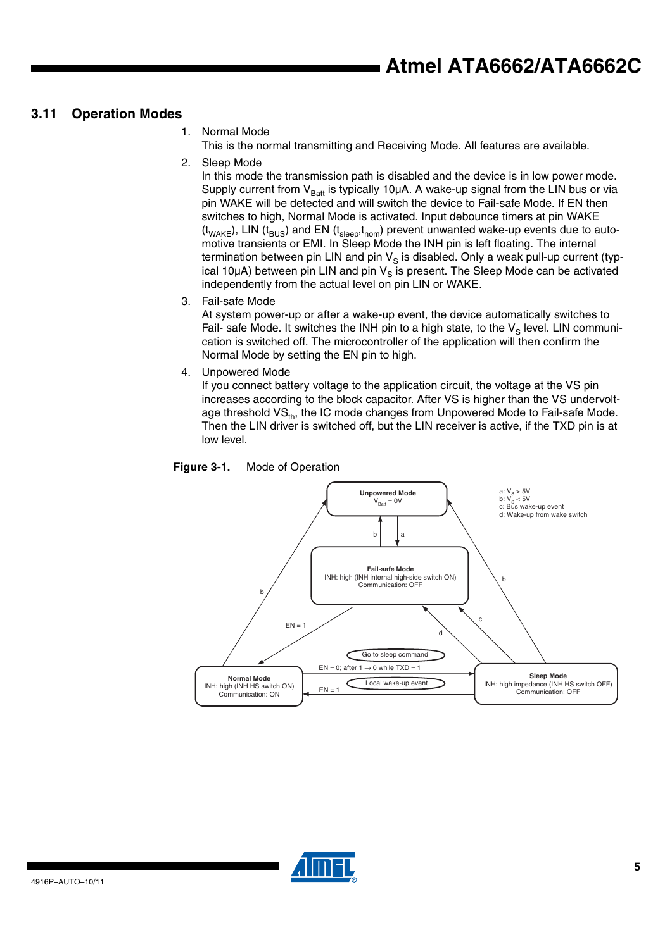### **3.11 Operation Modes**

1. Normal Mode

This is the normal transmitting and Receiving Mode. All features are available.

2. Sleep Mode

In this mode the transmission path is disabled and the device is in low power mode. Supply current from  $V_{Batt}$  is typically 10 $\mu$ A. A wake-up signal from the LIN bus or via pin WAKE will be detected and will switch the device to Fail-safe Mode. If EN then switches to high, Normal Mode is activated. Input debounce timers at pin WAKE  $(t<sub>WAKE</sub>)$ , LIN ( $t<sub>BUS</sub>$ ) and EN ( $t<sub>sleep</sub>t<sub>nom</sub>$ ) prevent unwanted wake-up events due to automotive transients or EMI. In Sleep Mode the INH pin is left floating. The internal termination between pin LIN and pin  $V_S$  is disabled. Only a weak pull-up current (typical 10 $\mu$ A) between pin LIN and pin  $V_S$  is present. The Sleep Mode can be activated independently from the actual level on pin LIN or WAKE.

3. Fail-safe Mode

At system power-up or after a wake-up event, the device automatically switches to Fail- safe Mode. It switches the INH pin to a high state, to the  $V_S$  level. LIN communication is switched off. The microcontroller of the application will then confirm the Normal Mode by setting the EN pin to high.

4. Unpowered Mode

If you connect battery voltage to the application circuit, the voltage at the VS pin increases according to the block capacitor. After VS is higher than the VS undervoltage threshold VS<sub>th</sub>, the IC mode changes from Unpowered Mode to Fail-safe Mode. Then the LIN driver is switched off, but the LIN receiver is active, if the TXD pin is at low level.

<span id="page-4-0"></span>



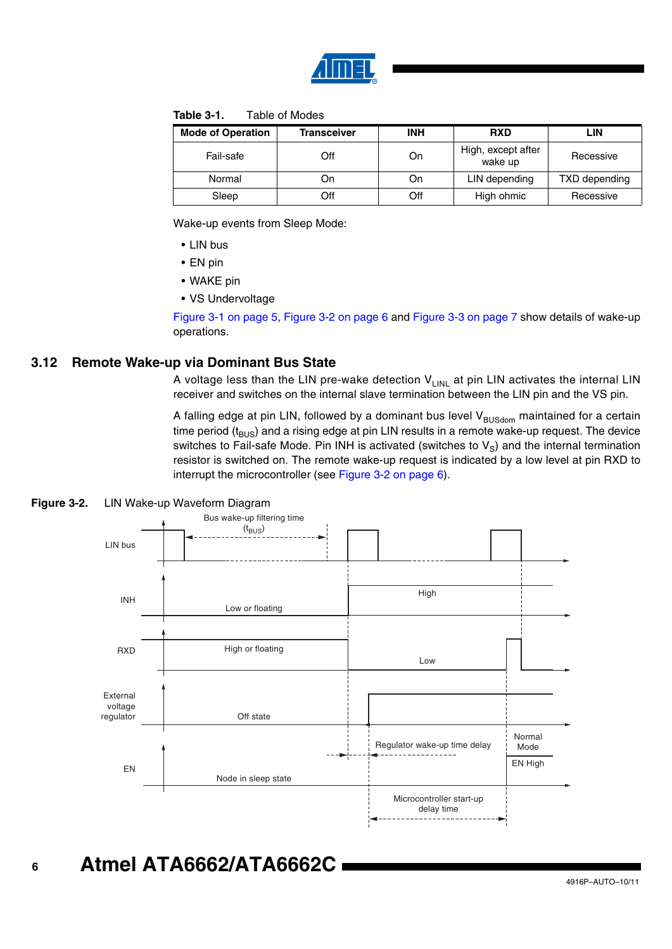

#### **Table 3-1.** Table of Modes

| <b>Mode of Operation</b> | <b>Transceiver</b> | <b>INH</b> | <b>RXD</b>                    | LIN           |
|--------------------------|--------------------|------------|-------------------------------|---------------|
| Fail-safe                | Off                | On         | High, except after<br>wake up | Recessive     |
| Normal                   | On                 | On         | LIN depending                 | TXD depending |
| Sleep                    | Off                | Off        | High ohmic                    | Recessive     |

Wake-up events from Sleep Mode:

- LIN bus
- EN pin
- WAKE pin
- VS Undervoltage

[Figure 3-1 on page 5](#page-4-0), [Figure 3-2 on page 6](#page-5-0) and [Figure 3-3 on page 7](#page-6-0) show details of wake-up operations.

### **3.12 Remote Wake-up via Dominant Bus State**

A voltage less than the LIN pre-wake detection  $V_{LINL}$  at pin LIN activates the internal LIN receiver and switches on the internal slave termination between the LIN pin and the VS pin.

A falling edge at pin LIN, followed by a dominant bus level  $V_{\text{BUSolom}}$  maintained for a certain time period  $(t_{BUS})$  and a rising edge at pin LIN results in a remote wake-up request. The device switches to Fail-safe Mode. Pin INH is activated (switches to  $V_S$ ) and the internal termination resistor is switched on. The remote wake-up request is indicated by a low level at pin RXD to interrupt the microcontroller (see [Figure 3-2 on page 6\)](#page-5-0).

<span id="page-5-0"></span>



#### **6 Atmel ATA6662/ATA6662C**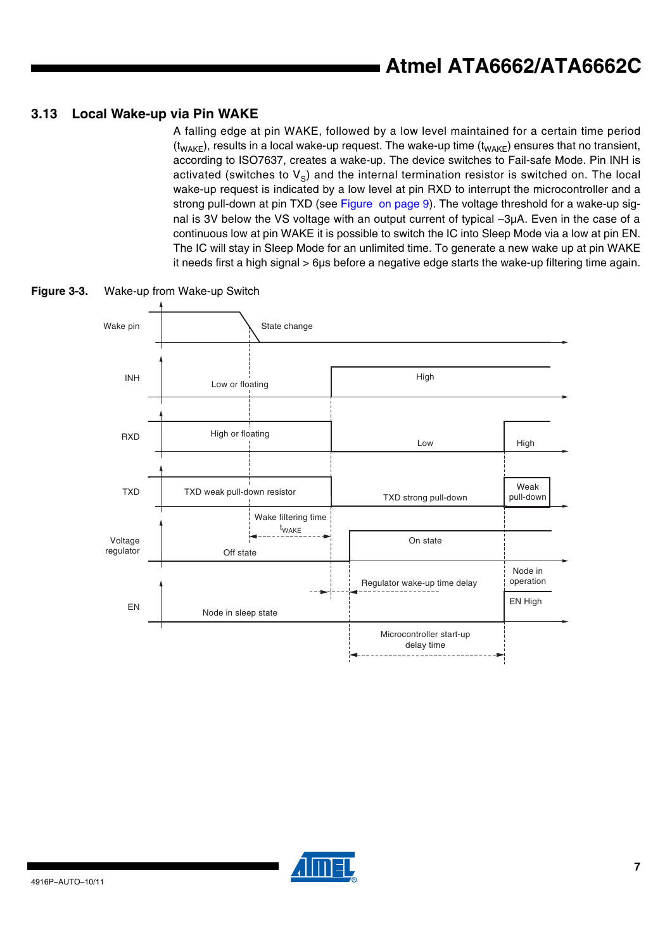### **3.13 Local Wake-up via Pin WAKE**

A falling edge at pin WAKE, followed by a low level maintained for a certain time period  $(t_{\text{WAKE}})$ , results in a local wake-up request. The wake-up time  $(t_{\text{WAKE}})$  ensures that no transient, according to ISO7637, creates a wake-up. The device switches to Fail-safe Mode. Pin INH is activated (switches to  $V_{\rm s}$ ) and the internal termination resistor is switched on. The local wake-up request is indicated by a low level at pin RXD to interrupt the microcontroller and a strong pull-down at pin TXD (see [Figure on page 9](#page-8-0)). The voltage threshold for a wake-up signal is 3V below the VS voltage with an output current of typical –3µA. Even in the case of a continuous low at pin WAKE it is possible to switch the IC into Sleep Mode via a low at pin EN. The IC will stay in Sleep Mode for an unlimited time. To generate a new wake up at pin WAKE it needs first a high signal > 6µs before a negative edge starts the wake-up filtering time again.



<span id="page-6-0"></span>**Figure 3-3.** Wake-up from Wake-up Switch

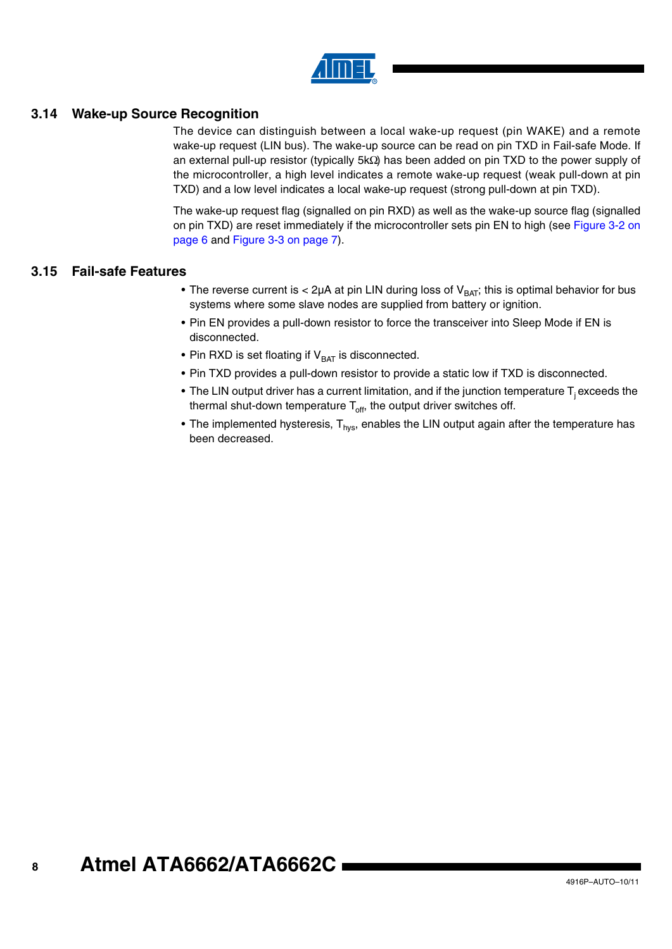

### <span id="page-7-0"></span>**3.14 Wake-up Source Recognition**

The device can distinguish between a local wake-up request (pin WAKE) and a remote wake-up request (LIN bus). The wake-up source can be read on pin TXD in Fail-safe Mode. If an external pull-up resistor (typically 5kΩ) has been added on pin TXD to the power supply of the microcontroller, a high level indicates a remote wake-up request (weak pull-down at pin TXD) and a low level indicates a local wake-up request (strong pull-down at pin TXD).

The wake-up request flag (signalled on pin RXD) as well as the wake-up source flag (signalled on pin TXD) are reset immediately if the microcontroller sets pin EN to high (see [Figure 3-2 on](#page-5-0) [page 6](#page-5-0) and [Figure 3-3 on page 7](#page-6-0)).

### **3.15 Fail-safe Features**

- The reverse current is  $< 2\mu A$  at pin LIN during loss of  $V_{BAT}$ ; this is optimal behavior for bus systems where some slave nodes are supplied from battery or ignition.
- Pin EN provides a pull-down resistor to force the transceiver into Sleep Mode if EN is disconnected.
- Pin RXD is set floating if  $V_{BAT}$  is disconnected.
- Pin TXD provides a pull-down resistor to provide a static low if TXD is disconnected.
- The LIN output driver has a current limitation, and if the junction temperature  $T_i$  exceeds the thermal shut-down temperature  $T<sub>off</sub>$ , the output driver switches off.
- The implemented hysteresis,  $T_{\text{hvs}}$ , enables the LIN output again after the temperature has been decreased.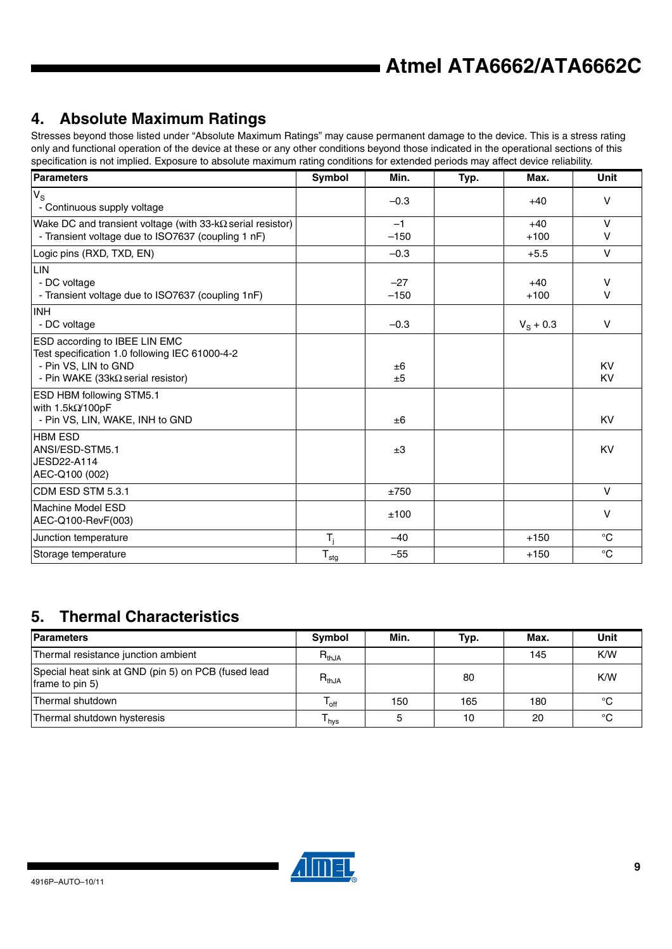# <span id="page-8-0"></span>**4. Absolute Maximum Ratings**

Stresses beyond those listed under "Absolute Maximum Ratings" may cause permanent damage to the device. This is a stress rating only and functional operation of the device at these or any other conditions beyond those indicated in the operational sections of this specification is not implied. Exposure to absolute maximum rating conditions for extended periods may affect device reliability.

| <b>Parameters</b>                                                                                                                                    | Symbol           | Min.            | Typ. | Max.              | <b>Unit</b>      |
|------------------------------------------------------------------------------------------------------------------------------------------------------|------------------|-----------------|------|-------------------|------------------|
| $V_{\rm S}$<br>- Continuous supply voltage                                                                                                           |                  | $-0.3$          |      | $+40$             | V                |
| Wake DC and transient voltage (with $33-k\Omega$ serial resistor)<br>- Transient voltage due to ISO7637 (coupling 1 nF)                              |                  | $-1$<br>$-150$  |      | $+40$<br>$+100$   | $\vee$<br>$\vee$ |
| Logic pins (RXD, TXD, EN)                                                                                                                            |                  | $-0.3$          |      | $+5.5$            | $\vee$           |
| LIN<br>- DC voltage<br>- Transient voltage due to ISO7637 (coupling 1nF)                                                                             |                  | $-27$<br>$-150$ |      | $+40$<br>$+100$   | $\vee$<br>$\vee$ |
| <b>INH</b><br>- DC voltage                                                                                                                           |                  | $-0.3$          |      | $V_{\rm S}$ + 0.3 | $\vee$           |
| ESD according to IBEE LIN EMC<br>Test specification 1.0 following IEC 61000-4-2<br>- Pin VS, LIN to GND<br>- Pin WAKE (33k $\Omega$ serial resistor) |                  | ±6<br>±5        |      |                   | <b>KV</b><br>KV  |
| <b>ESD HBM following STM5.1</b><br>with $1.5k\Omega/100pF$<br>- Pin VS, LIN, WAKE, INH to GND                                                        |                  | ±6              |      |                   | KV               |
| <b>HBM ESD</b><br>ANSI/ESD-STM5.1<br>JESD22-A114<br>AEC-Q100 (002)                                                                                   |                  | ±3              |      |                   | <b>KV</b>        |
| CDM ESD STM 5.3.1                                                                                                                                    |                  | ±750            |      |                   | $\vee$           |
| Machine Model ESD<br>AEC-Q100-RevF(003)                                                                                                              |                  | ±100            |      |                   | V                |
| Junction temperature                                                                                                                                 | $T_i$            | $-40$           |      | $+150$            | $^{\circ}C$      |
| Storage temperature                                                                                                                                  | $T_{\text{stg}}$ | $-55$           |      | $+150$            | $^{\circ}C$      |

# **5. Thermal Characteristics**

| Parameters                                                             | Symbol                      | Min. | Typ. | Max. | Unit |
|------------------------------------------------------------------------|-----------------------------|------|------|------|------|
| Thermal resistance junction ambient                                    | $R_{thJA}$                  |      |      | 145  | K/W  |
| Special heat sink at GND (pin 5) on PCB (fused lead<br>frame to pin 5) | $R_{thJA}$                  |      | 80   |      | K/W  |
| Thermal shutdown                                                       | $\mathsf{I}_{\mathsf{off}}$ | 150  | 165  | 180  | °C   |
| Thermal shutdown hysteresis                                            | $\mathsf{I}_{\mathsf{hvs}}$ |      | 10   | 20   | °C   |

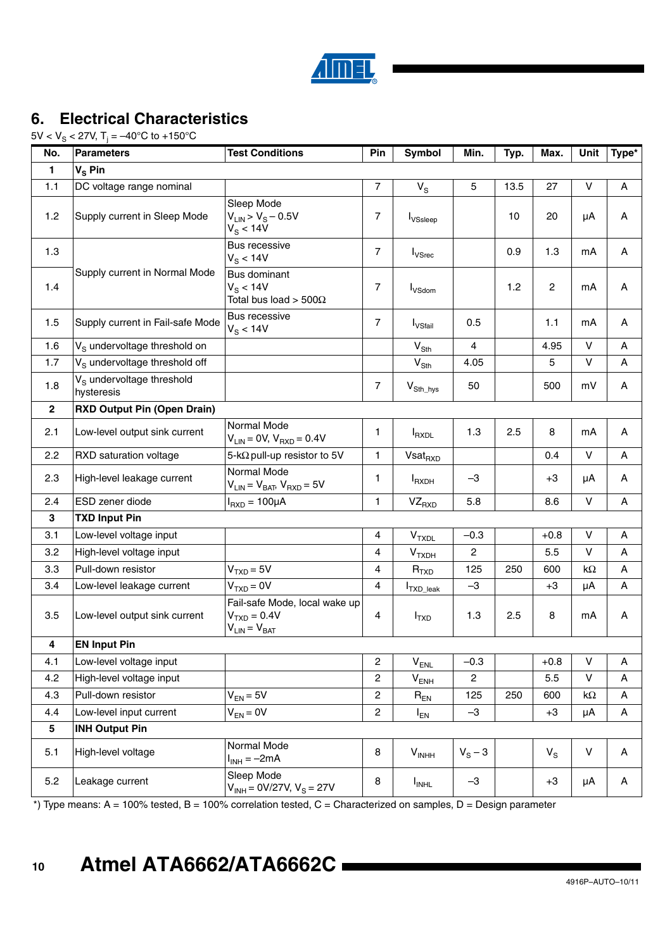

# **6. Electrical Characteristics**

5V < V $_{\rm S}$  < 27V, T $_{\rm j}$  = –40°C to +150°C

| No.          | <b>Parameters</b>                                   | <b>Test Conditions</b>                                                | Pin                     | Symbol                                        | Min.      | Typ. | Max.           | Unit         | Type* |
|--------------|-----------------------------------------------------|-----------------------------------------------------------------------|-------------------------|-----------------------------------------------|-----------|------|----------------|--------------|-------|
| $\mathbf{1}$ | $V_S$ Pin                                           |                                                                       |                         |                                               |           |      |                |              |       |
| 1.1          | DC voltage range nominal                            |                                                                       | $\overline{7}$          | $V_{\rm S}$                                   | 5         | 13.5 | 27             | V            | Α     |
| 1.2          | Supply current in Sleep Mode                        | Sleep Mode<br>$V_{LIN} > V_{S} - 0.5V$<br>$V_S < 14V$                 | 7                       | <b>I</b> <sub>VSsleep</sub>                   |           | 10   | 20             | μA           | Α     |
| 1.3          |                                                     | Bus recessive<br>$V_S < 14V$                                          | $\overline{7}$          | $I_{VSrec}$                                   |           | 0.9  | 1.3            | mA           | Α     |
| 1.4          | Supply current in Normal Mode                       | <b>Bus dominant</b><br>$V_S < 14V$<br>Total bus load > 500 $\Omega$   | 7                       | <b>I</b> <sub>VSdom</sub>                     |           | 1.2  | $\overline{2}$ | mA           | Α     |
| 1.5          | Supply current in Fail-safe Mode                    | Bus recessive<br>$V_S < 14V$                                          | $\overline{7}$          | <b>I</b> <sub>VSfail</sub>                    | 0.5       |      | 1.1            | mA           | Α     |
| 1.6          | V <sub>S</sub> undervoltage threshold on            |                                                                       |                         | $\mathsf{V}_{\mathsf{S}\mathsf{t}\mathsf{h}}$ | 4         |      | 4.95           | $\vee$       | Α     |
| 1.7          | V <sub>S</sub> undervoltage threshold off           |                                                                       |                         | $V_{\text{Sth}}$                              | 4.05      |      | 5              | $\vee$       | Α     |
| 1.8          | V <sub>s</sub> undervoltage threshold<br>hysteresis |                                                                       | $\overline{7}$          | $V_{\text{Sth\_{hys}}}$                       | 50        |      | 500            | mV           | Α     |
| $\mathbf{2}$ | <b>RXD Output Pin (Open Drain)</b>                  |                                                                       |                         |                                               |           |      |                |              |       |
| 2.1          | Low-level output sink current                       | Normal Mode<br>$V_{LIN} = 0V$ , $V_{RXD} = 0.4V$                      | 1                       | $I_{\text{RXDL}}$                             | 1.3       | 2.5  | 8              | mA           | Α     |
| 2.2          | RXD saturation voltage                              | 5-k $\Omega$ pull-up resistor to 5V                                   | $\mathbf{1}$            | Vsat <sub>RXD</sub>                           |           |      | 0.4            | $\vee$       | Α     |
| 2.3          | High-level leakage current                          | Normal Mode<br>$V_{LIN} = V_{BAT}$ , $V_{RXD} = 5V$                   | 1                       | <b>I</b> <sub>RXDH</sub>                      | $-3$      |      | $+3$           | μA           | Α     |
| 2.4          | ESD zener diode                                     | $I_{RXD} = 100 \mu A$                                                 | 1                       | $VZ_{RXD}$                                    | 5.8       |      | 8.6            | $\mathsf{V}$ | Α     |
| 3            | <b>TXD Input Pin</b>                                |                                                                       |                         |                                               |           |      |                |              |       |
| 3.1          | Low-level voltage input                             |                                                                       | 4                       | $\mathsf{V}_{\mathsf{TXDL}}$                  | $-0.3$    |      | $+0.8$         | $\vee$       | A     |
| 3.2          | High-level voltage input                            |                                                                       | 4                       | $\mathsf{V}_{\mathsf{TXDH}}$                  | 2         |      | 5.5            | $\vee$       | Α     |
| 3.3          | Pull-down resistor                                  | $VTXD = 5V$                                                           | 4                       | $R_{TXD}$                                     | 125       | 250  | 600            | $k\Omega$    | Α     |
| 3.4          | Low-level leakage current                           | $VTXD = 0V$                                                           | 4                       | I <sub>TXD_leak</sub>                         | $-3$      |      | $+3$           | μA           | А     |
| 3.5          | Low-level output sink current                       | Fail-safe Mode, local wake up<br>$VTXD = 0.4V$<br>$V_{LIN} = V_{BAT}$ | 4                       | I <sub>TXD</sub>                              | 1.3       | 2.5  | 8              | mA           | Α     |
| 4            | <b>EN Input Pin</b>                                 |                                                                       |                         |                                               |           |      |                |              |       |
| 4.1          | Low-level voltage input                             |                                                                       | $\overline{\mathbf{c}}$ | $V_{ENL}$                                     | $-0.3$    |      | $+0.8$         | V            | Α     |
| 4.2          | High-level voltage input                            |                                                                       | $\overline{\mathbf{c}}$ | $\mathsf{V}_\mathsf{ENH}$                     | 2         |      | 5.5            | $\sf V$      | A     |
| 4.3          | Pull-down resistor                                  | $V_{EN} = 5V$                                                         | 2                       | $\mathsf{R}_{\mathsf{EN}}$                    | 125       | 250  | 600            | $k\Omega$    | A     |
| 4.4          | Low-level input current                             | $V_{EN} = 0V$                                                         | 2                       | $I_{EN}$                                      | $-3$      |      | $+3$           | μA           | A     |
| 5            | <b>INH Output Pin</b>                               |                                                                       |                         |                                               |           |      |                |              |       |
| 5.1          | High-level voltage                                  | Normal Mode<br>$I_{INH} = -2mA$                                       | 8                       | V <sub>INHH</sub>                             | $V_S - 3$ |      | $V_{\rm S}$    | ${\sf V}$    | A     |
| 5.2          | Leakage current                                     | Sleep Mode<br>$V_{INH} = 0V/27V, V_S = 27V$                           | 8                       | $I_{INHL}$                                    | $-3$      |      | $+3$           | μA           | A     |

\*) Type means: A = 100% tested, B = 100% correlation tested, C = Characterized on samples, D = Design parameter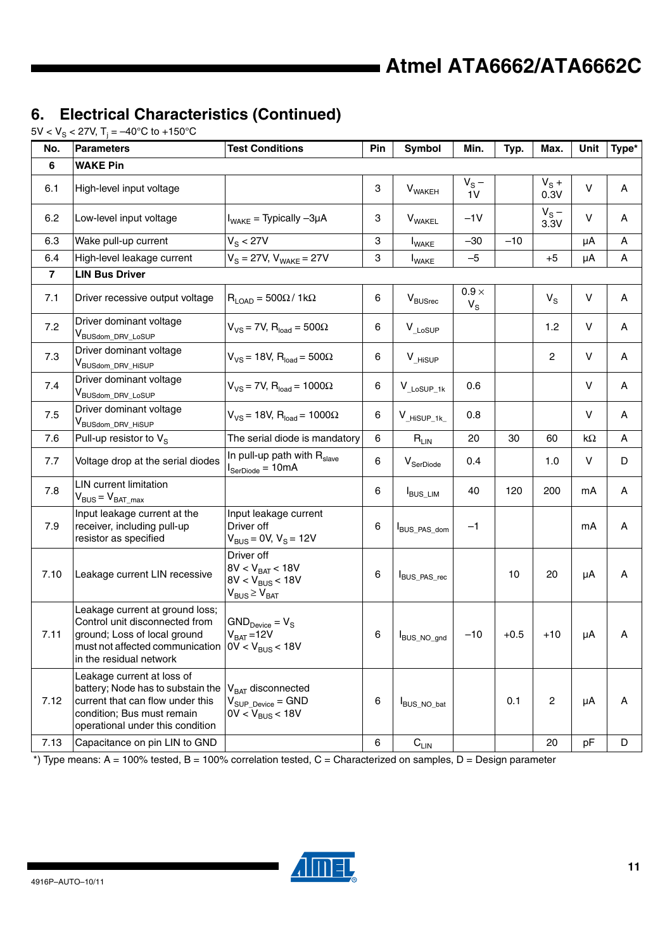# **6. Electrical Characteristics (Continued)**

5V < V $_{\rm S}$  < 27V, T $_{\rm j}$  = –40°C to +150°C

| No.            | <b>Parameters</b>                                                                                                                                                                                   | <b>Test Conditions</b>                                                               | Pin     | Symbol                         | Min.                  | Typ.   | Max.            | Unit      | Type* |
|----------------|-----------------------------------------------------------------------------------------------------------------------------------------------------------------------------------------------------|--------------------------------------------------------------------------------------|---------|--------------------------------|-----------------------|--------|-----------------|-----------|-------|
| 6              | <b>WAKE Pin</b>                                                                                                                                                                                     |                                                                                      |         |                                |                       |        |                 |           |       |
| 6.1            | High-level input voltage                                                                                                                                                                            |                                                                                      | 3       | $V_{\text{WAKEH}}$             | $V_S -$<br>1V         |        | $V_S +$<br>0.3V | V         | Α     |
| 6.2            | Low-level input voltage                                                                                                                                                                             | $I_{\text{WAKE}}$ = Typically $-3\mu A$                                              | 3       | <b>V</b> <sub>WAKEL</sub>      | $-1V$                 |        | $V_S -$<br>3.3V | V         | Α     |
| 6.3            | Wake pull-up current                                                                                                                                                                                | $V_S < 27V$                                                                          | 3       | <b>I</b> <sub>WAKE</sub>       | $-30$                 | $-10$  |                 | μA        | Α     |
| 6.4            | High-level leakage current                                                                                                                                                                          | $V_S = 27V$ , $V_{WAKE} = 27V$                                                       | 3       | <b>I</b> <sub>WAKE</sub>       | $-5$                  |        | $+5$            | μA        | A     |
| $\overline{7}$ | <b>LIN Bus Driver</b>                                                                                                                                                                               |                                                                                      |         |                                |                       |        |                 |           |       |
| 7.1            | Driver recessive output voltage                                                                                                                                                                     | $R_{\text{LOAD}} = 500\Omega/1k\Omega$                                               | 6       | $\mathsf{V}_{\mathsf{BUSrec}}$ | $0.9 \times$<br>$V_S$ |        | $V_S$           | V         | Α     |
| 7.2            | Driver dominant voltage<br>V <sub>BUSdom_DRV_LoSUP</sub>                                                                                                                                            | $V_{VS}$ = 7V, $R_{load}$ = 500 $\Omega$                                             | 6       | $V_{\_LoSUP}$                  |                       |        | 1.2             | V         | A     |
| 7.3            | Driver dominant voltage<br>V <sub>BUSdom_DRV_HiSUP</sub>                                                                                                                                            | $V_{VS}$ = 18V, R <sub>load</sub> = 500 $\Omega$                                     | 6       | V HISUP                        |                       |        | $\overline{c}$  | V         | Α     |
| 7.4            | Driver dominant voltage<br>V <sub>BUSdom_DRV_LoSUP</sub>                                                                                                                                            | $V_{VS}$ = 7V, R <sub>load</sub> = 1000 $\Omega$                                     | 6       | $V_{\_LoSUP_1k}$               | 0.6                   |        |                 | V         | Α     |
| 7.5            | Driver dominant voltage<br>V <sub>BUSdom_DRV_HiSUP</sub>                                                                                                                                            | $V_{VS}$ = 18V, $R_{load}$ = 1000 $\Omega$                                           | 6       | $V_{HiSUP_1k}$                 | 0.8                   |        |                 | V         | А     |
| 7.6            | Pull-up resistor to V <sub>S</sub>                                                                                                                                                                  | The serial diode is mandatory                                                        | $\,6\,$ | $\mathsf{R}_{\mathsf{LIN}}$    | 20                    | 30     | 60              | $k\Omega$ | Α     |
| 7.7            | Voltage drop at the serial diodes                                                                                                                                                                   | In pull-up path with R <sub>slave</sub><br>$I_{\text{SerDiode}} = 10 \text{mA}$      | 6       | $V_{\textnormal{SerDiode}}$    | 0.4                   |        | 1.0             | V         | D     |
| 7.8            | <b>LIN</b> current limitation<br>$V_{BUS} = V_{BAT\_max}$                                                                                                                                           |                                                                                      | 6       | <b>I</b> BUS_LIM               | 40                    | 120    | 200             | mA        | Α     |
| 7.9            | Input leakage current at the<br>receiver, including pull-up<br>resistor as specified                                                                                                                | Input leakage current<br>Driver off<br>$V_{BUS} = 0V, V_S = 12V$                     | 6       | BUS_PAS_dom                    | $-1$                  |        |                 | mA        | Α     |
| 7.10           | Leakage current LIN recessive                                                                                                                                                                       | Driver off<br>$8V < V_{BAT} < 18V$<br>$8V < V_{BUS} < 18V$<br>$V_{BUS} \geq V_{BAT}$ | 6       | BUS_PAS_rec                    |                       | 10     | 20              | μA        | Α     |
| 7.11           | Leakage current at ground loss;<br>Control unit disconnected from<br>ground; Loss of local ground<br>must not affected communication $\vert$ 0V < V <sub>BUS</sub> < 18V<br>in the residual network | $GND_{Device} = V_S$<br>$V_{BAT} = 12V$                                              | 6       | BUS_NO_gnd                     | $-10$                 | $+0.5$ | $+10$           | μA        | Α     |
| 7.12           | Leakage current at loss of<br>battery; Node has to substain the<br>current that can flow under this<br>condition; Bus must remain<br>operational under this condition                               | V <sub>BAT</sub> disconnected<br>$V_{SUP\ Device} = GND$<br>$0V < V_{BUS} < 18V$     | 6       | BUS_NO_bat                     |                       | 0.1    | $\overline{c}$  | μA        | Α     |
| 7.13           | Capacitance on pin LIN to GND                                                                                                                                                                       |                                                                                      | $\,6\,$ | $\mathsf{C}_\mathsf{LIN}$      |                       |        | 20              | pF        | D     |

 $^*$ ) Type means: A = 100% tested, B = 100% correlation tested, C = Characterized on samples, D = Design parameter

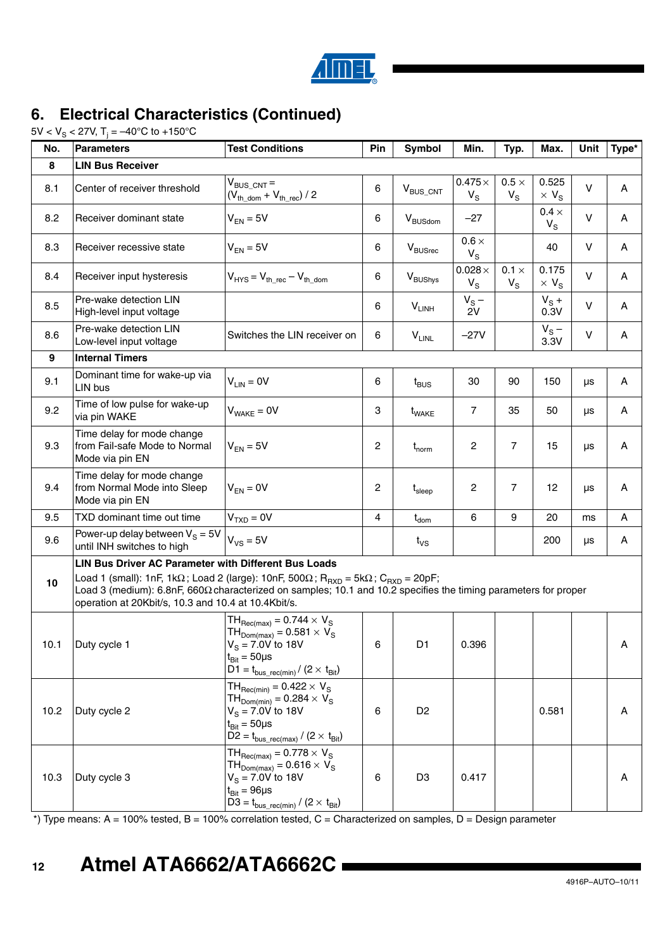

# **6. Electrical Characteristics (Continued)**

5V < V $_{\rm S}$  < 27V, T $_{\rm j}$  = –40°C to +150°C

| No.  | <b>Parameters</b>                                                                                                                                                                                                                                                                                                                                                   | <b>Test Conditions</b>                                                                                                                                                                                       | Pin | <b>Symbol</b>                | Min.                         | Typ.                        | Max.                             | Unit    | Type* |
|------|---------------------------------------------------------------------------------------------------------------------------------------------------------------------------------------------------------------------------------------------------------------------------------------------------------------------------------------------------------------------|--------------------------------------------------------------------------------------------------------------------------------------------------------------------------------------------------------------|-----|------------------------------|------------------------------|-----------------------------|----------------------------------|---------|-------|
| 8    | <b>LIN Bus Receiver</b>                                                                                                                                                                                                                                                                                                                                             |                                                                                                                                                                                                              |     |                              |                              |                             |                                  |         |       |
| 8.1  | Center of receiver threshold                                                                                                                                                                                                                                                                                                                                        | $V_{BUS,CNT}$ =<br>$(V_{th\_dom} + V_{th\_rec}) / 2$                                                                                                                                                         | 6   | $V_{\text{BUS\_CNT}}$        | $0.475\times$<br>$V_{\rm S}$ | $0.5 \times$<br>$V_{\rm S}$ | 0.525<br>$\times$ V <sub>S</sub> | v       | Α     |
| 8.2  | Receiver dominant state                                                                                                                                                                                                                                                                                                                                             | $V_{EN} = 5V$                                                                                                                                                                                                | 6   | $V_{\text{BUSdom}}$          | $-27$                        |                             | $0.4 \times$<br>$V_{S}$          | $\vee$  | Α     |
| 8.3  | Receiver recessive state                                                                                                                                                                                                                                                                                                                                            | $V_{EN} = 5V$                                                                                                                                                                                                | 6   | $\mathrm{V}_{\text{BUSrec}}$ | $0.6 \times$<br>$V_{S}$      |                             | 40                               | v       | Α     |
| 8.4  | Receiver input hysteresis                                                                                                                                                                                                                                                                                                                                           | $V_{HYS} = V_{th}$ rec $-V_{th}$ dom                                                                                                                                                                         | 6   | V <sub>BUShys</sub>          | $0.028\times$<br>$V_S$       | $0.1 \times$<br>$V_{\rm S}$ | 0.175<br>$\times$ V <sub>S</sub> | $\sf V$ | Α     |
| 8.5  | Pre-wake detection LIN<br>High-level input voltage                                                                                                                                                                                                                                                                                                                  |                                                                                                                                                                                                              | 6   | $V_{LINH}$                   | $V_S -$<br>2V                |                             | $V_S +$<br>0.3V                  | $\vee$  | Α     |
| 8.6  | Pre-wake detection LIN<br>Low-level input voltage                                                                                                                                                                                                                                                                                                                   | Switches the LIN receiver on                                                                                                                                                                                 | 6   | $V_{LINL}$                   | $-27V$                       |                             | $V_S -$<br>3.3V                  | $\vee$  | Α     |
| 9    | <b>Internal Timers</b>                                                                                                                                                                                                                                                                                                                                              |                                                                                                                                                                                                              |     |                              |                              |                             |                                  |         |       |
| 9.1  | Dominant time for wake-up via<br>LIN bus                                                                                                                                                                                                                                                                                                                            | $V_{LIN} = 0V$                                                                                                                                                                                               | 6   | $t_{\texttt{BUS}}$           | 30                           | 90                          | 150                              | μs      | Α     |
| 9.2  | Time of low pulse for wake-up<br>via pin WAKE                                                                                                                                                                                                                                                                                                                       | $V_{\text{WAKF}} = 0V$                                                                                                                                                                                       | 3   | t <sub>WAKE</sub>            | 7                            | 35                          | 50                               | μs      | Α     |
| 9.3  | Time delay for mode change<br>from Fail-safe Mode to Normal<br>Mode via pin EN                                                                                                                                                                                                                                                                                      | $V_{EN} = 5V$                                                                                                                                                                                                | 2   | $t_{norm}$                   | 2                            | $\overline{7}$              | 15                               | μs      | Α     |
| 9.4  | Time delay for mode change<br>from Normal Mode into Sleep<br>Mode via pin EN                                                                                                                                                                                                                                                                                        | $V_{EN} = 0V$                                                                                                                                                                                                | 2   | $t_{\sf sleep}$              | 2                            | 7                           | 12                               | μs      | Α     |
| 9.5  | TXD dominant time out time                                                                                                                                                                                                                                                                                                                                          | $VTXD = 0V$                                                                                                                                                                                                  | 4   | $t_{\mathsf{dom}}$           | 6                            | 9                           | 20                               | ms      | Α     |
| 9.6  | Power-up delay between $V_s = 5V$<br>until INH switches to high                                                                                                                                                                                                                                                                                                     | $V_{VS} = 5V$                                                                                                                                                                                                |     | $t_{\rm VS}$                 |                              |                             | 200                              | μs      | Α     |
| 10   | LIN Bus Driver AC Parameter with Different Bus Loads<br>Load 1 (small): 1nF, 1k $\Omega$ ; Load 2 (large): 10nF, 500 $\Omega$ ; R <sub>RXD</sub> = 5k $\Omega$ ; C <sub>RXD</sub> = 20pF;<br>Load 3 (medium): 6.8nF, 660Ω characterized on samples; 10.1 and 10.2 specifies the timing parameters for proper<br>operation at 20Kbit/s, 10.3 and 10.4 at 10.4Kbit/s. |                                                                                                                                                                                                              |     |                              |                              |                             |                                  |         |       |
| 10.1 | Duty cycle 1                                                                                                                                                                                                                                                                                                                                                        | $TH_{\text{Rec(max)}} = 0.744 \times V_{\text{S}}$<br>$TH_{Dom(max)} = 0.581 \times V_S$<br>$V_{\rm S}$ = 7.0V to 18V<br>$t_{\text{Bit}} = 50 \mu s$<br>$D1 = t_{bus\_rec(min)}/(2 \times t_{Bit})$          | 6   | D1                           | 0.396                        |                             |                                  |         | A     |
| 10.2 | Duty cycle 2                                                                                                                                                                                                                                                                                                                                                        | $TH_{\text{Rec(min)}} = 0.422 \times V_{\text{S}}$<br>$TH_{Dom(min)} = 0.284 \times V_s$<br>$V_{\rm s} = 7.0 \dot{V}$ to 18V<br>$t_{\text{Bit}} = 50 \mu s$<br>$D2 = t_{bus\_rec(max)} / (2 \times t_{Bit})$ | 6   | D <sub>2</sub>               |                              |                             | 0.581                            |         | Α     |
| 10.3 | Duty cycle 3                                                                                                                                                                                                                                                                                                                                                        | $TH_{\text{Rec(max)}} = 0.778 \times V_{\text{s}}$<br>$TH_{Dom(max)} = 0.616 \times V_S$<br>$V_{\rm s}$ = 7.0V to 18V<br>$t_{\text{Bit}} = 96 \mu s$<br>$D3 = t_{bus\_rec(min)} / (2 \times t_{Bit})$        | 6   | D <sub>3</sub>               | 0.417                        |                             |                                  |         | Α     |

\*) Type means: A = 100% tested, B = 100% correlation tested, C = Characterized on samples, D = Design parameter

#### **12 Atmel ATA6662/ATA6662C**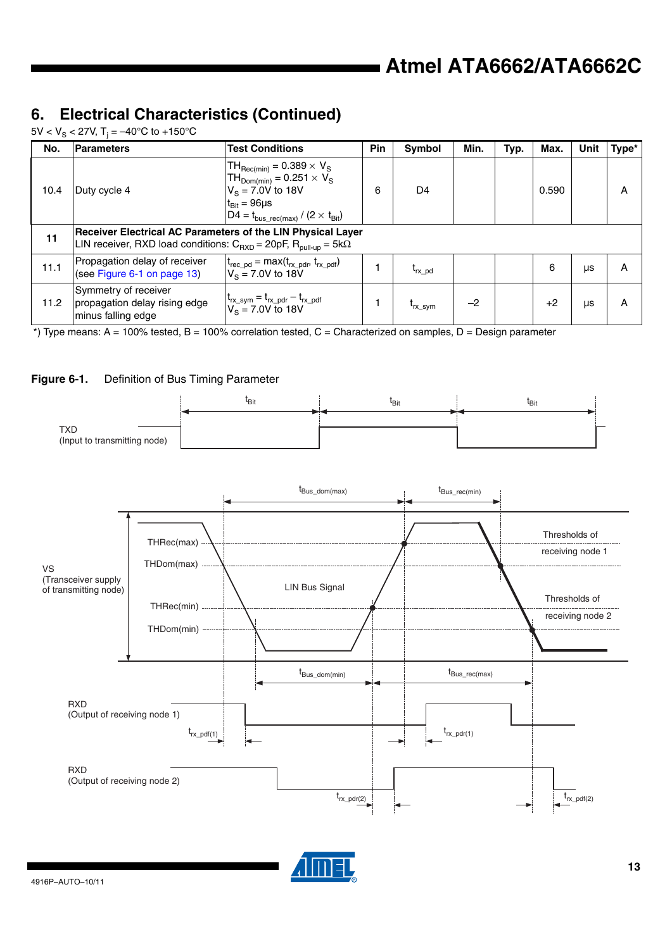# **6. Electrical Characteristics (Continued)**

5V < V $_{\rm S}$  < 27V, T $_{\rm j}$  = –40°C to +150°C

| No.  | <b>Parameters</b>                                                                                                                             | <b>Test Conditions</b>                                                                                                                                                                           | Pin | <b>Symbol</b>  | Min. | Typ. | Max.  | Unit | Type* |
|------|-----------------------------------------------------------------------------------------------------------------------------------------------|--------------------------------------------------------------------------------------------------------------------------------------------------------------------------------------------------|-----|----------------|------|------|-------|------|-------|
| 10.4 | Duty cycle 4                                                                                                                                  | $TH_{\text{Rec(min)}} = 0.389 \times V_{\text{S}}$<br>$TH_{Dom(min)} = 0.251 \times V_S$<br>$V_s = 7.0V$ to 18V<br>$t_{\text{Bit}} = 96 \mu s$<br>$D4 = t_{bus \ rec(max)} / (2 \times t_{Bit})$ | 6   | D <sub>4</sub> |      |      | 0.590 |      | Α     |
| 11   | Receiver Electrical AC Parameters of the LIN Physical Layer<br>LIN receiver, RXD load conditions: $C_{RXD} = 20pF$ , $R_{pull-up} = 5k\Omega$ |                                                                                                                                                                                                  |     |                |      |      |       |      |       |
| 11.1 | Propagation delay of receiver<br>(see Figure 6-1 on page 13)                                                                                  | $t_{rec\_pd} = max(t_{rx\_pdr}, t_{rx\_pdf})$<br>$V_s = 7.0V$ to 18V                                                                                                                             |     | $t_{rx\_pd}$   |      |      | 6     | μs   | A     |
| 11.2 | Symmetry of receiver<br>propagation delay rising edge<br>minus falling edge                                                                   | $\begin{cases} t_{rx\_sym} = t_{rx\_pdr} - t_{rx\_pdf} \\ V_S = 7.0V \text{ to } 18V \end{cases}$                                                                                                |     | $t_{rx}$ sym   | $-2$ |      | $+2$  | μs   | A     |

 $*$ ) Type means: A = 100% tested, B = 100% correlation tested, C = Characterized on samples, D = Design parameter

#### <span id="page-12-0"></span>**Figure 6-1.** Definition of Bus Timing Parameter





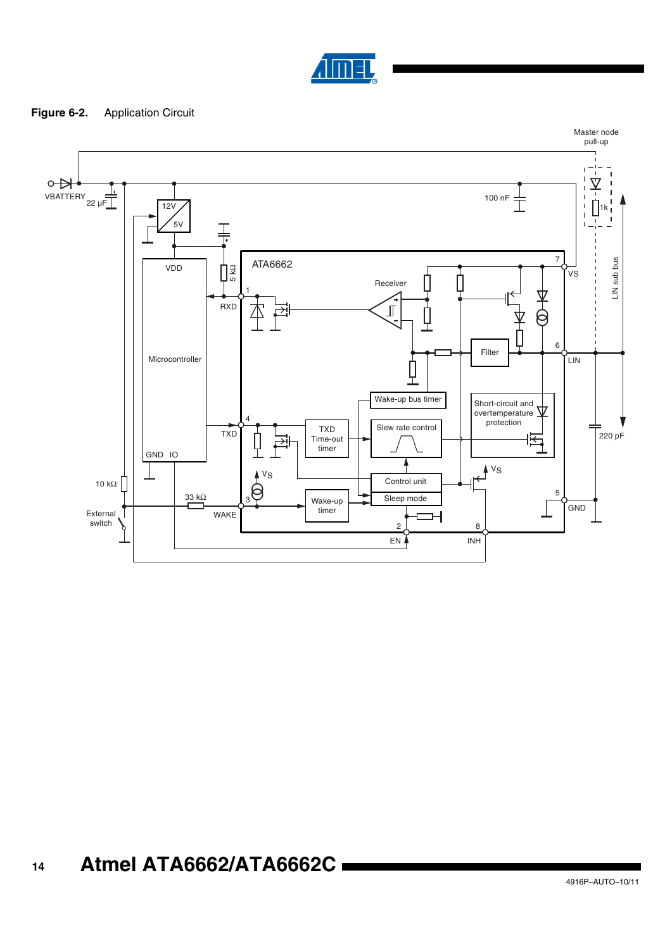

#### **Figure 6-2.** Application Circuit

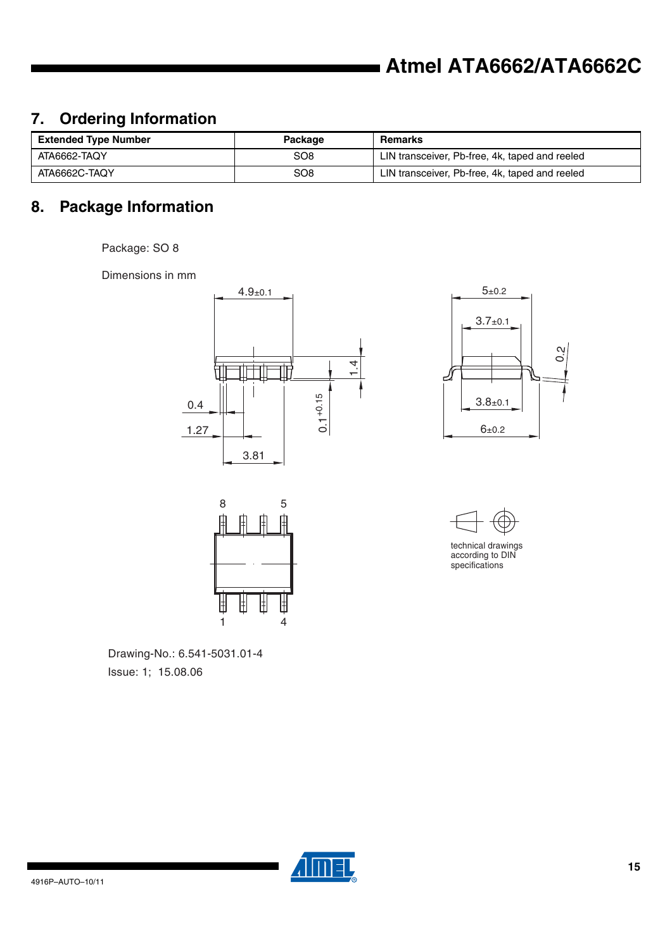# **7. Ordering Information**

| <b>Extended Type Number</b> | Package         | Remarks                                        |
|-----------------------------|-----------------|------------------------------------------------|
| ATA6662-TAQY                | SO8             | LIN transceiver, Pb-free, 4k, taped and reeled |
| ATA6662C-TAQY               | SO <sub>8</sub> | LIN transceiver, Pb-free, 4k, taped and reeled |

# **8. Package Information**

Package: SO 8

Dimensions in mm









specifications

Issue: 1; 15.08.06 Drawing-No.: 6.541-5031.01-4

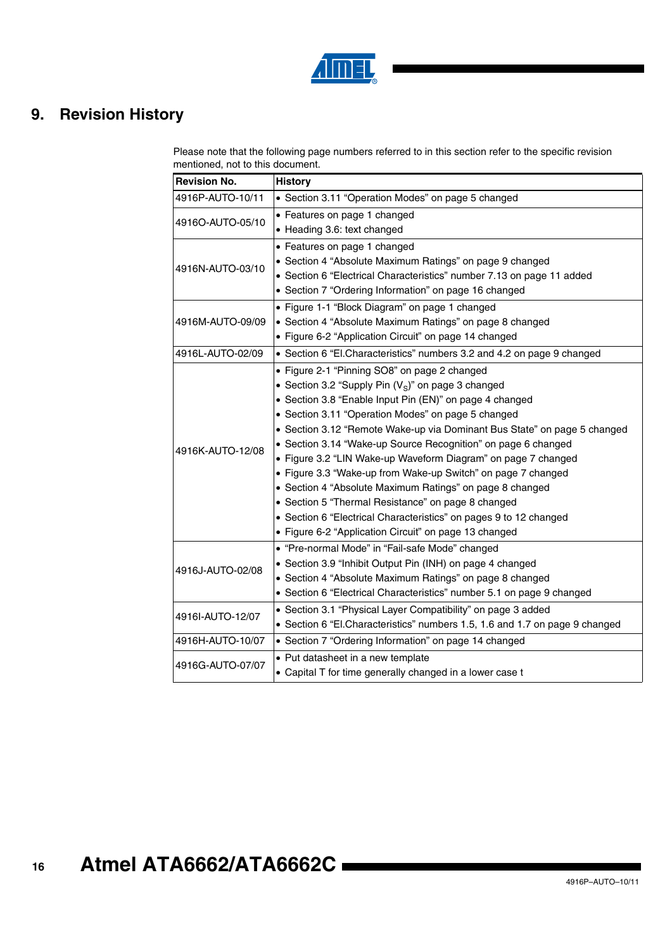

# **9. Revision History**

Please note that the following page numbers referred to in this section refer to the specific revision mentioned, not to this document.

| <b>Revision No.</b> | <b>History</b>                                                              |
|---------------------|-----------------------------------------------------------------------------|
| 4916P-AUTO-10/11    | • Section 3.11 "Operation Modes" on page 5 changed                          |
| 4916O-AUTO-05/10    | • Features on page 1 changed                                                |
|                     | • Heading 3.6: text changed                                                 |
|                     | • Features on page 1 changed                                                |
| 4916N-AUTO-03/10    | • Section 4 "Absolute Maximum Ratings" on page 9 changed                    |
|                     | • Section 6 "Electrical Characteristics" number 7.13 on page 11 added       |
|                     | • Section 7 "Ordering Information" on page 16 changed                       |
|                     | • Figure 1-1 "Block Diagram" on page 1 changed                              |
| 4916M-AUTO-09/09    | • Section 4 "Absolute Maximum Ratings" on page 8 changed                    |
|                     | • Figure 6-2 "Application Circuit" on page 14 changed                       |
| 4916L-AUTO-02/09    | • Section 6 "El.Characteristics" numbers 3.2 and 4.2 on page 9 changed      |
|                     | • Figure 2-1 "Pinning SO8" on page 2 changed                                |
|                     | • Section 3.2 "Supply Pin $(V_S)$ " on page 3 changed                       |
|                     | • Section 3.8 "Enable Input Pin (EN)" on page 4 changed                     |
|                     | • Section 3.11 "Operation Modes" on page 5 changed                          |
|                     | • Section 3.12 "Remote Wake-up via Dominant Bus State" on page 5 changed    |
| 4916K-AUTO-12/08    | • Section 3.14 "Wake-up Source Recognition" on page 6 changed               |
|                     | • Figure 3.2 "LIN Wake-up Waveform Diagram" on page 7 changed               |
|                     | • Figure 3.3 "Wake-up from Wake-up Switch" on page 7 changed                |
|                     | • Section 4 "Absolute Maximum Ratings" on page 8 changed                    |
|                     | • Section 5 "Thermal Resistance" on page 8 changed                          |
|                     | • Section 6 "Electrical Characteristics" on pages 9 to 12 changed           |
|                     | • Figure 6-2 "Application Circuit" on page 13 changed                       |
|                     | • "Pre-normal Mode" in "Fail-safe Mode" changed                             |
| 4916J-AUTO-02/08    | • Section 3.9 "Inhibit Output Pin (INH) on page 4 changed                   |
|                     | • Section 4 "Absolute Maximum Ratings" on page 8 changed                    |
|                     | • Section 6 "Electrical Characteristics" number 5.1 on page 9 changed       |
|                     | • Section 3.1 "Physical Layer Compatibility" on page 3 added                |
| 4916I-AUTO-12/07    | • Section 6 "El.Characteristics" numbers 1.5, 1.6 and 1.7 on page 9 changed |
| 4916H-AUTO-10/07    | • Section 7 "Ordering Information" on page 14 changed                       |
| 4916G-AUTO-07/07    | • Put datasheet in a new template                                           |
|                     | • Capital T for time generally changed in a lower case t                    |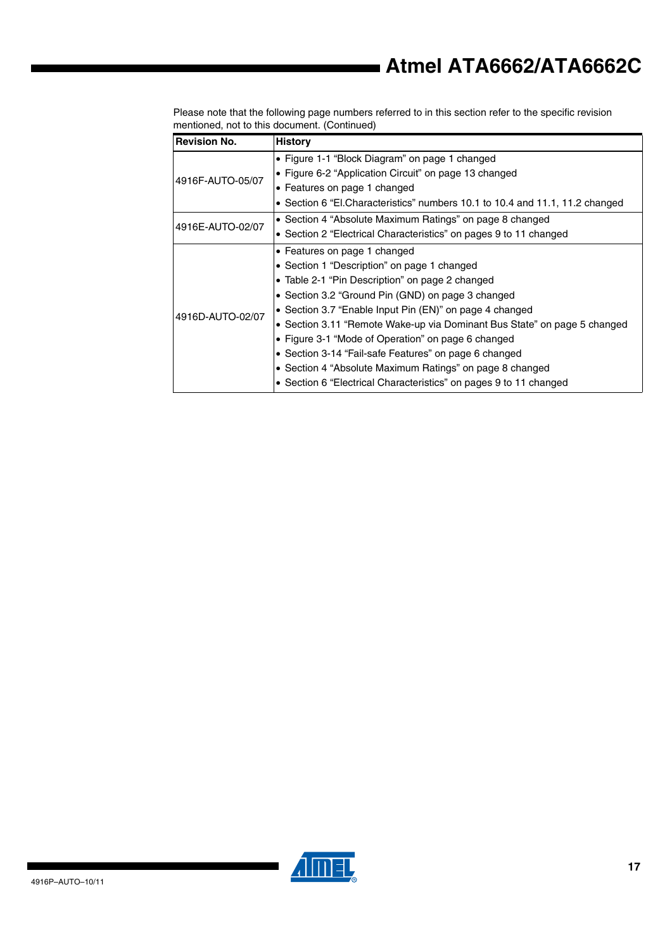Please note that the following page numbers referred to in this section refer to the specific revision mentioned, not to this document. (Continued)

| <b>Revision No.</b> | <b>History</b>                                                                |  |  |  |  |  |
|---------------------|-------------------------------------------------------------------------------|--|--|--|--|--|
|                     | • Figure 1-1 "Block Diagram" on page 1 changed                                |  |  |  |  |  |
| 4916F-AUTO-05/07    | • Figure 6-2 "Application Circuit" on page 13 changed                         |  |  |  |  |  |
|                     | • Features on page 1 changed                                                  |  |  |  |  |  |
|                     | • Section 6 "El. Characteristics" numbers 10.1 to 10.4 and 11.1, 11.2 changed |  |  |  |  |  |
| 4916E-AUTO-02/07    | • Section 4 "Absolute Maximum Ratings" on page 8 changed                      |  |  |  |  |  |
|                     | • Section 2 "Electrical Characteristics" on pages 9 to 11 changed             |  |  |  |  |  |
|                     | • Features on page 1 changed                                                  |  |  |  |  |  |
|                     | • Section 1 "Description" on page 1 changed                                   |  |  |  |  |  |
|                     | • Table 2-1 "Pin Description" on page 2 changed                               |  |  |  |  |  |
|                     | • Section 3.2 "Ground Pin (GND) on page 3 changed                             |  |  |  |  |  |
| 4916D-AUTO-02/07    | • Section 3.7 "Enable Input Pin (EN)" on page 4 changed                       |  |  |  |  |  |
|                     | • Section 3.11 "Remote Wake-up via Dominant Bus State" on page 5 changed      |  |  |  |  |  |
|                     | • Figure 3-1 "Mode of Operation" on page 6 changed                            |  |  |  |  |  |
|                     | • Section 3-14 "Fail-safe Features" on page 6 changed                         |  |  |  |  |  |
|                     | • Section 4 "Absolute Maximum Ratings" on page 8 changed                      |  |  |  |  |  |
|                     | • Section 6 "Electrical Characteristics" on pages 9 to 11 changed             |  |  |  |  |  |